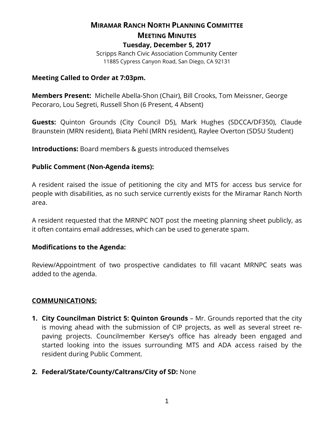# **MIRAMAR RANCH NORTH PLANNING COMMITTEE MEETING MINUTES Tuesday, December 5, 2017** Scripps Ranch Civic Association Community Center

11885 Cypress Canyon Road, San Diego, CA 92131

#### **Meeting Called to Order at 7:03pm.**

**Members Present:** Michelle Abella-Shon (Chair), Bill Crooks, Tom Meissner, George Pecoraro, Lou Segreti, Russell Shon (6 Present, 4 Absent)

**Guests:** Quinton Grounds (City Council D5), Mark Hughes (SDCCA/DF350), Claude Braunstein (MRN resident), Biata Piehl (MRN resident), Raylee Overton (SDSU Student)

**Introductions:** Board members & guests introduced themselves

#### **Public Comment (Non-Agenda items):**

A resident raised the issue of petitioning the city and MTS for access bus service for people with disabilities, as no such service currently exists for the Miramar Ranch North area.

A resident requested that the MRNPC NOT post the meeting planning sheet publicly, as it often contains email addresses, which can be used to generate spam.

#### **Modifications to the Agenda:**

Review/Appointment of two prospective candidates to fill vacant MRNPC seats was added to the agenda.

## **COMMUNICATIONS:**

**1. City Councilman District 5: Quinton Grounds** – Mr. Grounds reported that the city is moving ahead with the submission of CIP projects, as well as several street repaving projects. Councilmember Kersey's office has already been engaged and started looking into the issues surrounding MTS and ADA access raised by the resident during Public Comment.

## **2. Federal/State/County/Caltrans/City of SD:** None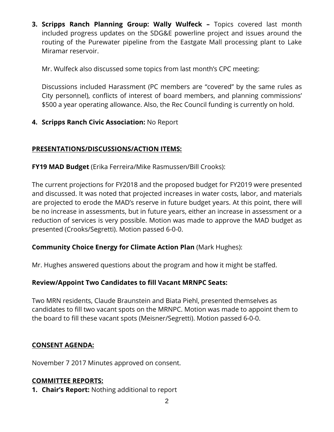**3. Scripps Ranch Planning Group: Wally Wulfeck –** Topics covered last month included progress updates on the SDG&E powerline project and issues around the routing of the Purewater pipeline from the Eastgate Mall processing plant to Lake Miramar reservoir.

Mr. Wulfeck also discussed some topics from last month's CPC meeting:

Discussions included Harassment (PC members are "covered" by the same rules as City personnel), conflicts of interest of board members, and planning commissions' \$500 a year operating allowance. Also, the Rec Council funding is currently on hold.

## **4. Scripps Ranch Civic Association:** No Report

#### **PRESENTATIONS/DISCUSSIONS/ACTION ITEMS:**

**FY19 MAD Budget** (Erika Ferreira/Mike Rasmussen/Bill Crooks):

The current projections for FY2018 and the proposed budget for FY2019 were presented and discussed. It was noted that projected increases in water costs, labor, and materials are projected to erode the MAD's reserve in future budget years. At this point, there will be no increase in assessments, but in future years, either an increase in assessment or a reduction of services is very possible. Motion was made to approve the MAD budget as presented (Crooks/Segretti). Motion passed 6-0-0.

## **Community Choice Energy for Climate Action Plan** (Mark Hughes):

Mr. Hughes answered questions about the program and how it might be staffed.

## **Review/Appoint Two Candidates to fill Vacant MRNPC Seats:**

Two MRN residents, Claude Braunstein and Biata Piehl, presented themselves as candidates to fill two vacant spots on the MRNPC. Motion was made to appoint them to the board to fill these vacant spots (Meisner/Segretti). Motion passed 6-0-0.

## **CONSENT AGENDA:**

November 7 2017 Minutes approved on consent.

## **COMMITTEE REPORTS:**

**1. Chair's Report:** Nothing additional to report